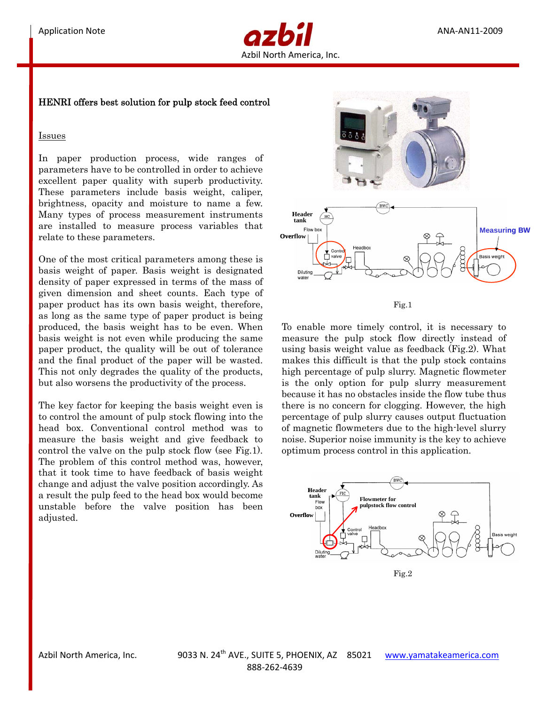

## HENRI offers best solution for pulp stock feed control

## Issues

In paper production process, wide ranges of parameters have to be controlled in order to achieve excellent paper quality with superb productivity. These parameters include basis weight, caliper, brightness, opacity and moisture to name a few. Many types of process measurement instruments are installed to measure process variables that relate to these parameters.

One of the most critical parameters among these is basis weight of paper. Basis weight is designated density of paper expressed in terms of the mass of given dimension and sheet counts. Each type of paper product has its own basis weight, therefore, as long as the same type of paper product is being produced, the basis weight has to be even. When basis weight is not even while producing the same paper product, the quality will be out of tolerance and the final product of the paper will be wasted. This not only degrades the quality of the products, but also worsens the productivity of the process.

The key factor for keeping the basis weight even is to control the amount of pulp stock flowing into the head box. Conventional control method was to measure the basis weight and give feedback to control the valve on the pulp stock flow (see Fig.1). The problem of this control method was, however, that it took time to have feedback of basis weight change and adjust the valve position accordingly. As a result the pulp feed to the head box would become unstable before the valve position has been adjusted.



Fig.1

To enable more timely control, it is necessary to measure the pulp stock flow directly instead of using basis weight value as feedback (Fig.2). What makes this difficult is that the pulp stock contains high percentage of pulp slurry. Magnetic flowmeter is the only option for pulp slurry measurement because it has no obstacles inside the flow tube thus there is no concern for clogging. However, the high percentage of pulp slurry causes output fluctuation of magnetic flowmeters due to the high-level slurry noise. Superior noise immunity is the key to achieve optimum process control in this application.



Fig.2